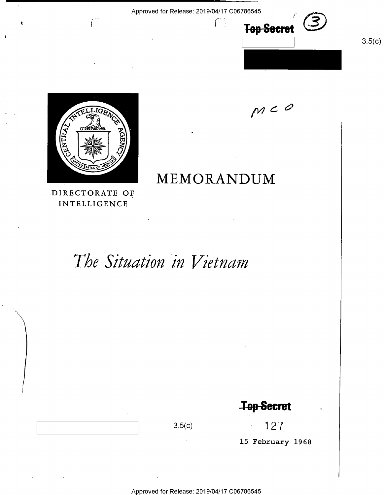$\mathcal{H}^{\mathcal{A}}$  and the internal contribution of the internal contribution of  $\mathcal{H}^{\mathcal{A}}$  and  $\mathcal{H}^{\mathcal{A}}$ 



 $\bullet$ 

MEMORANDUM DIRECTORATE OF INTELLIGENCE

# The Situation in Vietnam

**Top-Secret** 

3.5(c)  $127$ 

 $m < 0$ 

**Top Secret** 

 $3.5(c)$ 

15 February 1968

Approved for Release: 2019/04/17 C06786545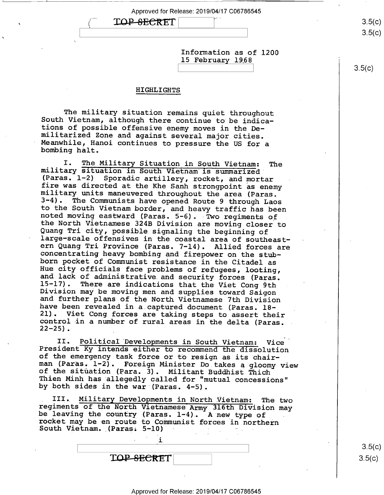TOP-SECRET

y

Information as of 1200 15 February 1968

#### HIGHLIGHTS

The military situation remains quiet throughout<br>South Vietnam, although there continue to be indica-<br>tions of possible offensive enemy moves in the De-<br>militarized Zone and against several major cities.<br>Meanwhile, Hanoi co

I. The Military Situation in South Vietnam: The military situation in South Vietnam is summarized<br>(Paras. 1-2) Sporadic artillery, rocket, and mortar<br>fire was directed at the Khe Sanh strongpoint as enemy fire was directed at the Khe Sanh strongpoint as enemy<br>military units maneuvered throughout the area (Paras.<br>3-4). The Communists have opened Route 9 through Laos<br>to the South Vietnam border, and heavy traffic has been<br>not 21). Viet Cong forces are taking steps to assert their control in a number of rural areas in the delta (Paras.  $22-25$ ).

II. Political Developments in South Vietnam: Vice<br>President Ky intends either to recommend the dissolution<br>of the emergency task force or to resign as its chair-<br>man (Paras. 1-2). Foreign Minister Do takes a gloomy view<br>of

III. Military Developments in North Vietnam: The two<br>regiments of the North Vietnamese Army 316th Division may<br>be leaving the country (Paras. 1-4). A new type of<br>rocket may be en route to Communist forces in northern<br>South  $\mathcal{L} = \mathcal{L} \times \mathcal{L} \times \mathcal{L}$ 

i

TOP SECRET

 $3.5(c)$  $3.5(c)$ 

 $3.5(c)$  $3.5 (c)$ 

 $3.5(c)$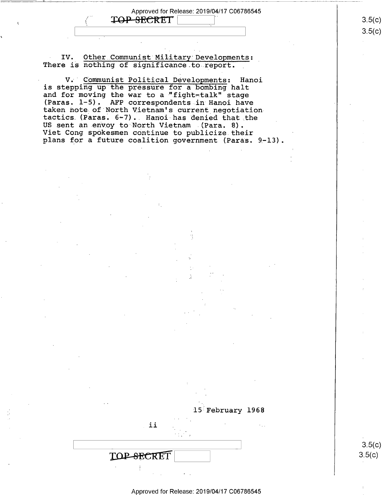TOP SECRET

0

1 \_\_

IV. Other Communist Military Developments: There is nothing of significance to report.

V;' Communist Political Developments: Hanoi is stepping up the pressure for a bombing halt and for moving the war to a "fight-talk" stage<br>(Paras. 1-5). AFP correspondents in Hanoi have taken note of North Vietnam's current negotiation<br>tactics (Paras. 6-7). Hanoi has denied that the<br>US sent an envoy to North Vietnam (Para. 8). Viet Cong spokesmen continue to publicize their<br>plans for a future coalition government (Paras. 9-l3).

> 3.5(C)  $3.5(c)$

 $3.5(c)$  $3.5 (c)$ 

Approved for Release: 2019/04/17 C06786545

TOP-SECRET

15 February 1968

ii  $\mathbb{I}_{\mathbb{Z}}$  is the set of  $\mathbb{Z}$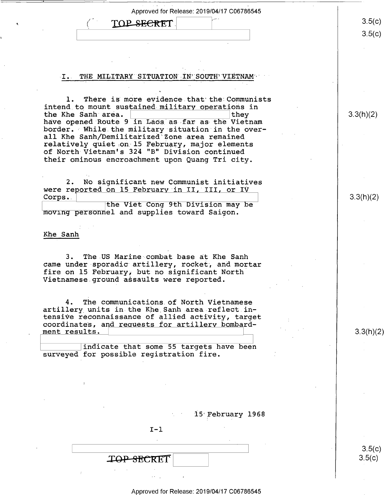| Approved for Release: 2019/04/17 C06786545                                                         |           |
|----------------------------------------------------------------------------------------------------|-----------|
| TOP SECRET                                                                                         | 3.5(c)    |
|                                                                                                    | 3.5(c)    |
|                                                                                                    |           |
|                                                                                                    |           |
|                                                                                                    |           |
| THE MILITARY SITUATION IN SOUTH VIETNAM<br>$\cdot$ I.                                              |           |
|                                                                                                    |           |
| There is more evidence that the Communists<br>1.                                                   |           |
| intend to mount sustained military operations in<br>the Khe Sanh area.<br>they                     | 3.3(h)(2) |
| have opened Route 9 in Laos as far as the Vietnam                                                  |           |
| border. While the military situation in the over-<br>all Khe Sanh/Demilitarized Zone area remained |           |
| relatively quiet on 15 February, major elements                                                    |           |
| of North Vietnam's 324 "B" Division continued<br>their ominous encroachment upon Quang Tri city.   |           |
|                                                                                                    |           |
| No significant new Communist initiatives<br>2.                                                     |           |
| were reported on 15 February in II, III, or IV                                                     |           |
| Corps.<br>the Viet Cong 9th Division may be                                                        | 3.3(h)(2) |
| moving personnel and supplies toward Saigon.                                                       |           |
|                                                                                                    |           |
| Khe Sanh                                                                                           |           |
|                                                                                                    |           |
| The US Marine combat base at Khe Sanh<br>З.                                                        |           |
| came under sporadic artillery, rocket, and mortar<br>fire on 15 February, but no significant North |           |
| Vietnamese ground assaults were reported.                                                          |           |
|                                                                                                    |           |
| The communications of North Vietnamese<br>4.<br>artillery units in the Khe Sanh area reflect in-   |           |
| tensive reconnaissance of allied activity, target                                                  |           |
| coordinates, and requests for artillery bombard-<br>ment results.                                  | 3.3(h)(2) |
|                                                                                                    |           |
|                                                                                                    |           |

indicate that some 55 targets have been surveyed for possible registration fire.

 $\ddot{\phantom{a}}$ 

 $\bar{\mathbf{v}}$ 

15 February 1968

 $I-1$  $\mathcal{L}$ 

 $\omega_{\rm{max}}$ 

TOP-SECRET

Approved for Release: 2019/04/17 C06786545

 $\ddot{\phantom{a}}$ 

 $3.5(c)$  $3.5(c)$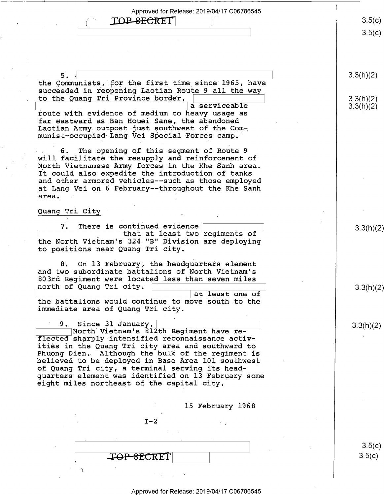3.5(C)

 $3.5(c)$ 

 $3.3(h)(2)$ 

 $3.3(h)(2)$  $3.3(h)(2)$ 

3.3(h)(2)

 $3.3(h)(2)$ 

3.3(h X2)

the Communists, for the first time since 1965, have succeeded in reopening Laotian Route 9 all the way<br>to the Quang Tri Province border.<br>a serviceable

route with evidence of medium to heavy usage as far eastward as Ban Houei Sane, the abandoned<br>Laotian Army outpost just southwest of the Communist-occupied Lang Vei Special Forces camp.

**TOP SECRET** 

6. The opening of this segment of Route 9 will facilitate the resupply and reinforcement of North Vietnamese Army forces in the Khe Sanh area. It could also expedite the introduction of tanks and other armored vehicles--such as those employed at Lang Vei on 6 February--throughout the Khe Sanh area.

Quang Tri City '

r

 $5.$ 

~

7. There is continued evidence the North Vietnam's 324 "B" Division are deploying that at least two regiments of to positions near Quang Tri city. '

8. On 13 February, the headquarters element and two subordinate battalions of North Vietnam 's 803rd Regiment were located less than seven miles north of Quang Tri city.

at least one of the battalions would continue to move south to the immediate area of Quang Tri city.

9. Since 31 January,

North Vietnam's 812th Regiment have reflected sharply intensified reconnaissance activities in the Quang Tri city area and southward to<br>Phuong Dien. Although the bulk of the regiment is<br>believed to be deployed in Base Area 101 southwest of Quang Tri city, a terminal serving its headeight miles northeast of the capital city. is believed to be deployed in Base Area 101 southwest quarters element was identified on 13 February some

l5 February 1968

 $I-2$ 

 $-$ <del>TOP SEC</del>RET

 $3.5(c)$  $\mathcal{L}$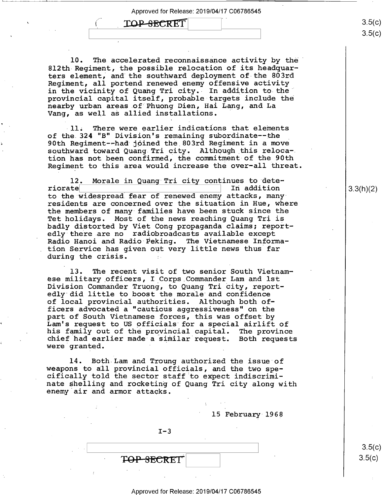"S

### TOP-SECRET

~

10. The accelerated reconnaissance activity by the 812th Regiment, the possible relocation of its headquarters element, and the southward deployment of the 803rd Regiment, all portend renewed enemy offensive activity in the vicinity of Quang Tri city. In addition to the provincial capital itself, probable targets include the nearby urban areas.of Phuong Dien, Hai Lang, and La Vang, as well as allied installations.

-ll. There were earlier indications that elements of the 324 "B" Division's remaining subordinate--the<br>90th Regiment--had joined the 803rd Regiment in a move southward toward Quang Tri city. Although this relocation has not been confirmed, the commitment of the 90th Regiment to this area would increase the over-all threat.

12. Morale in Quang Tri city continues to dete-<br>riorate and In addition In addition to the widespread fear of renewed enemy attacks, manyresidents are concerned over the situation in Hue, where the members of many families have been stuck since the Tet holidays. Most of the news reaching Quang Tri is badly distorted by Viet Cong propaganda claims; report edly there are no radiobroadcasts available except Radio Hanoi and Radio Peking. The Vietnamese Information Service has given out very little news thus far during the crisis.

13. The recent visit of two senior South Vietnamese military officers, I Corps Commander Lam and lst Division Commander Truong, to Quang Tri city, report edly did little to boost the morale and confidence of local provincial authorities. Although both officers advocated a "cautious aggressiveness" on the part of South Vietnamese forces, this was offset by Lam's request to US officials for a special airlift of his family out of the provincial capital. The province chief had earlier made a similar request. Both requests were granted.

14. Both Lam and Troung authorized the issue of weapons to all provincial officials, and the two specifically told the sector staff to expect indiscriminate shelling and rocketing of Quang Tri city along with enemy air and armor attacks.

15 February 1968

 $I-3$ 

TOP SECRET

3.3(h)(2)

 $3.5$ (C)  $3.5(c)$ 

၁.၁(C)  $3.5 (c)$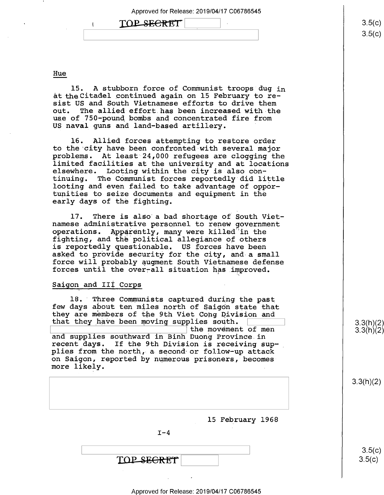Approved for Release: 2019/04/17<br>1 100 SECRET

Hue

15. A stubborn force of Communist troops dug in at the Citadel continued again on 15 February to resist US and South Vietnamese efforts to drive them The allied effort has been increased with the use of 750—pound bombs and concentrated fire from US naval guns and land-based artillery.

l6. Allied forces attempting to restore order to the city have been confronted with several major problems. At least 24,000 refugees are clogging the elsewhere. Looting within the city is also continuing. The Communist forces reportedly did little looting and even failed to take advantage of opportunities to seize documents and equipment in the early days of the fighting.

l7. There is also a bad shortage of South Vietnamese administrative personnel to renew government operations. Apparently, many were killed"in the fighting, and the political allegiance of others is reportedly questionable. US forces have been asked to provide security for the city, and a small force will probably augment South Vietnamese defense forces until the over-all situation has improved.

#### Saigon and III Corps

18. Three Communists captured during the past<br>few days about ten miles north of Saigon state that<br>they are members of the 9th Viet Cong Division and that they have been moving supplies south. and supplies southward in Binh Duong Province in recent days. If the 9th Division is receiving supplies from the north, a-second or follow—up attack on Saigon, reported by numerous prisoners, becomes more likely.

| 15 February 1968 |  |
|------------------|--|
| $I-4$            |  |
| TOP SEGRET       |  |

 $3.3(h)(2)$  $3.3(h)(2)$ 

3.3(h)(2)

 $3.5(c)$  $3.5(c)$ 

#### Approved for Release: 2019/04/17 C06786545

 $3.5(c)$  $3.5 (c)$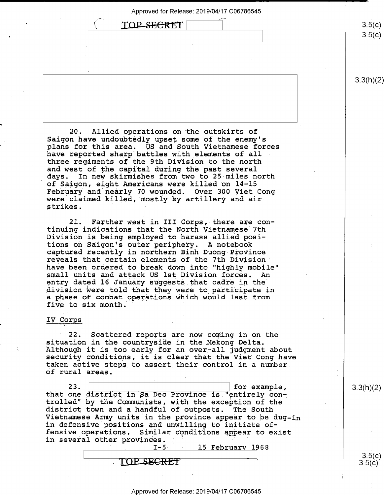| ヽ<br>محصين<br>$\rightarrow$ |  |
|-----------------------------|--|
|                             |  |

 $3.5(c)$  $3.5 (c)$ 

3.3(h)(2)

20. Allied operations on the outskirts of Saigon have undoubtedly upset some of the enemy's<br>plans for this area. US and South Vietnamese forces have reported sharp battles with elements of all three regiments of the 9th Division to the north and west of the capital during the past several days. In new skirmishes from two to 25 miles  $n_0$ In new skirmishes from two to 25 miles north of Saigon, eight Americans were killed on 14-15 February and nearly 70 wounded. Over 300 Viet Cong were claimed killed, mostly by artillery and airstrikes.

\_ 21. Farther west in III Corps, there are continuing indications that the North Vietnamese 7th Division is being employed to harass allied posi-<br>tions on Saigon's outer periphery. A notebook captured recently in northern Binh Duong Province reveals that certain elements of the 7th Division" have been ordered to break down into "highly mobile" small units and attack US lst Division forces. entry dated 16 January suggests that cadre in the' division were told that they were to participate in a phase of combat operations which would last from five to six month.

#### IV Corps

22. Scattered reports are now coming in on the situation in the countryside in the Mekong Delta. Although it is too early for an over-all judgment about security conditions, it is clear that the Viet Cong have taken active steps\_to assert their control in a number. of rural areas. <sup>4</sup>

23.  $\vert$  23.  $\vert$  for example, that one district in Sa Dec Province is "entirely controlled" by the Communists, with the exception of the district town and a handful of outposts. The South Vietnamese Army units in the province appear to be dug-in in defensive positions and unwilling to"initiate offensive operations. Similar conditions appear to exist in several other provinces.<br>-5-' -' '

15 February 1968

TOP SEGRET

3.3(h)(2)

 $3.5(c)$  $3.5(c)$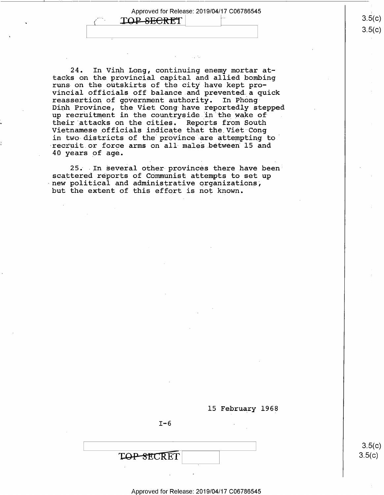Approved for Release: 2019/04/17 C06786545 .

TOP-SECRET

24. In Vinh Long, continuing enemy mortar attacks on the provincial capital and allied bombing runs on the outskirts of the city have kept provincial officials off balance.and prevented a quick reassertion of government authority. In Phong-Dinh Province, the Viet Cong have reportedly stepped up recruitment in the countryside in the wake of their attacks on the cities. Reports from South Vietnamese officials indicate that the Viet Cong in two districts of the province are attempting to recruit or force arms on all males between 15 and 40 years of age.

25. In several other provinces there have been scattered reports of Communist attempts to set up new political and administrative organizations,<br>but the extent of this effort is not known.

l5 February 1968

 $I - 6$ 

**TOP-SECRET** 

 $3.5(c)$  $3.5(c)$ 

3.5(C) <u>၁.၁(</u>C)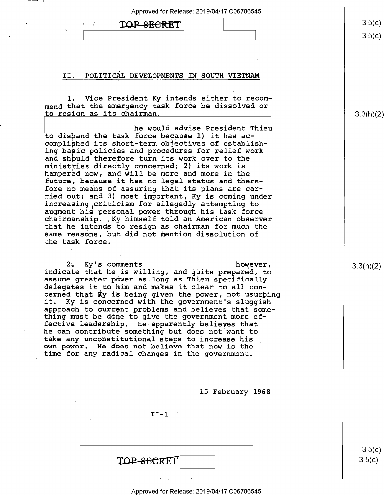\ \ 3.5

|  | TOP SECRET |  |
|--|------------|--|
|--|------------|--|

`

#### II. POLITICAL DEVELOPMENTS IN SOUTH VIETNAM

l. Vice President Ky intends either to recommend that the emergency task force be dissolved or to resign as its chairman. \ ]

he would advise President Thieu to disband the task force because 1) it has accomplished its short—term objectives of establishing basic policies and procedures for relief work and shbuld therefore turn its work over to the ministries directly concerned; 2) its work is hampered now, and will be more and more in the future; because it has no legal status and therefore no means of assuring that its plans are carried out; and 3) most important, Ky is coming under increasing criticism for allegedly attempting to augment his personal power through his task force chairmanship. Ky himself told an American observer that he intends to resign as chairman for much the same reasons, but did not mention dissolution of the task force.

2. Ky's comments  $\vert$  however, indicate that he is willing, and quite prepared, to assume greater power as long as Thieu specifically delegates it to him and makes it clear to all concerned that Ky is being given the power, not usurping<br>it. Ky is concerned with the government's sluggish Ky is concerned with the government's sluggish approach to current problems and believes that something must be done to give the government more effective leadership. He apparently believes that he can contribute something but does not want to<br>take any unconstitutional steps to increase his own power. He does not believe that now is the time for any radical changes in the government.

l5 February 1968

 $II-1$ 

| TOP-SECRET |  |
|------------|--|

 $3.5(c)$  $3.5(c)$ 

#### Approved for Release: 2019/04/17 C06786545

 $\sqrt{\,}\,$  $3.5(c)$ 

)

3.3(h)(2)

3.3(h)(2)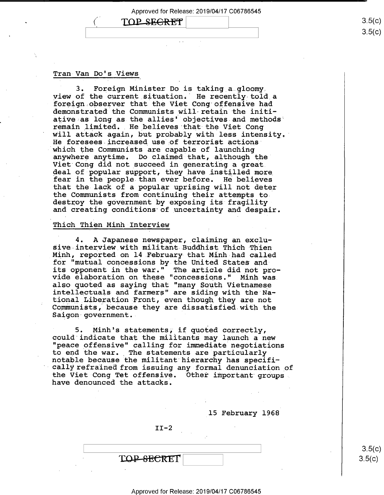# $\mathbf{T} \cap \mathbf{P}$   $\mathbf{S}$   $\mathbf{E}$   $\mathbf{G}$   $\mathbf{R}$   $\mathbf{R}$   $\mathbf{T}'$   $\mathbf{R}$   $\mathbf{S}$   $\mathbf{S}$   $\mathbf{C}$   $\mathbf{S}$   $\mathbf{S}$   $\mathbf{C}$   $\mathbf{S}$   $\mathbf{S}$   $\mathbf{C}$   $\mathbf{S}$   $\mathbf{S}$   $\mathbf{C}$   $\mathbf{S}$   $\mathbf{S}$   $\mathbf{C}$   $\mathbf{S}$

#### Tran Van Do's-Views

'

3. Foreign Minister Do is taking a gloomy. view of the current situation. He recently told a foreign observer that the Viet Cong offensive had demonstrated the Communists\_will-retain the initiative as long as the allies' objectives and methods remain limited. He believes that the Viet Conq will attack again, but probably with less intensity. He foresees increased use of terrorist actions which the Communists are capable of launching anywhere anytime. Do claimed that, although the' Viet Cong did not succeed in generating a great<br>deal of popular support, they have instilled more fear in the people than ever before. He believes that the lack of a popular uprising will not deter the Communists from continuing their attempts to destroy the government by exposing its fragility and creating conditions of uncertainty and despair.

#### Thich Thien Minh Interview

4. A Japanese newspaper, claiming an exclusive interview with militant Buddhist Thich Thien Minh, reported on l4.February-that Minh had called for "mutual concessions by the United States andits opponent in the war." The article did not provide elaboration on these "concessions." Minh was<br>also quoted as saying that "many South Vietnamese intellectuals and farmers" are siding with the National\_Liberation Front, even though they are not Communists, because they are dissatisfied with the Saigon'government..

5. Minh's statements; if quoted correctly, could indicate that the militants may launch a new "peace offensive" calling for immediate negotiations to end the war. The statements are particularly notable because the militant hierarchy has specifically refrained from issuing any formal denunciation of the Viet Cong Tet offensive. 'Other important groups have denounced the attacks.

15 February 1968

 $II-2$ 

TOP-SECRET

- (,0  $3.5(c)$ 

 $3.5$ (c)

))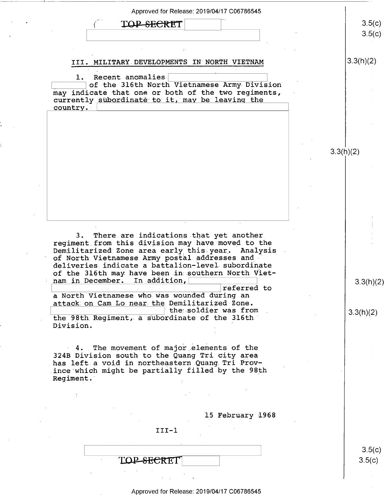| TOP SECRET                                                                                                                                                                                                     | 3.5(c)<br>3.5(c)       |
|----------------------------------------------------------------------------------------------------------------------------------------------------------------------------------------------------------------|------------------------|
|                                                                                                                                                                                                                |                        |
| III. MILITARY DEVELOPMENTS IN NORTH VIETNAM                                                                                                                                                                    | 3.3(h)(2)              |
| Recent anomalies<br>of the 316th North Vietnamese Army Division<br>may indicate that one or both of the two regiments,<br>currently subordinate to it, may be leaving the<br>country.                          |                        |
|                                                                                                                                                                                                                |                        |
|                                                                                                                                                                                                                |                        |
|                                                                                                                                                                                                                | 3.3(h)(2)              |
|                                                                                                                                                                                                                |                        |
|                                                                                                                                                                                                                |                        |
|                                                                                                                                                                                                                |                        |
| 3. There are indications that yet another<br>regiment from this division may have moved to the<br>Demilitarized Zone area early this year. Analysis                                                            |                        |
| of North Vietnamese Army postal addresses and<br>deliveries indicate a battalion-level subordinate<br>of the 316th may have been in southern North Viet-<br>nam in December.<br>In addition,<br>referred to    |                        |
| a North Vietnamese who was wounded during an<br>attack on Cam Lo near the Demilitarized Zone.<br>the soldier was from<br>the 98th Regiment, a subordinate of the 316th                                         |                        |
| Division.                                                                                                                                                                                                      |                        |
| 4. The movement of major elements of the<br>324B Division south to the Quang Tri city area<br>has left a void in northeastern Quang Tri Prov-<br>ince which might be partially filled by the 98th<br>Regiment. |                        |
|                                                                                                                                                                                                                |                        |
|                                                                                                                                                                                                                |                        |
| 15 February 1968                                                                                                                                                                                               |                        |
| $III-1$                                                                                                                                                                                                        | 3.3(h)(2)<br>3.3(h)(2) |
| <del>SECRE</del> T                                                                                                                                                                                             | 3.5(c)<br>3.5(c)       |

---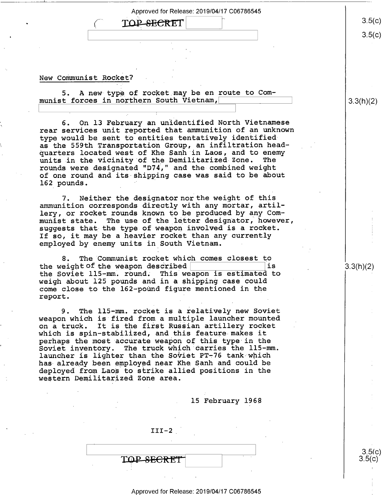**TOP-SECRET** 

#### New Communist Rocket?

5. A new-type of rocket may be en route to Communist forces in northern South Vietnam,

6. On l3 February an unidentified North Vietnamese rear services unit reported that ammunition of an unknown type would be sent to entities tentatively identifiedas the 559th Transportation Group, an infiltration headquarters located west of Khe Sanh in Laos, and to enemy<br>units in the vicinity of the Demilitarized Zone. The units in the vicinity of the Demilitarized Zone. rounds were designated "D74," and the combined weight of one round and its shipping case was said to be about 162 pounds.

7. Neither the designator nor the weight of this ammunition corresponds directly with any mortar, artillery, or rocket rounds known to be produced by any Com-<br>munist state. The use of the letter designator, howeve The use of the letter designator, however, suggests that the type of weapon involved is a rocket. If so, it may be a heavier rocket than any currently employed by enemy units in South Vietnam.

8. The Communist rocket which comes closest to the Soviet 115-mm. round. This weapon is estimated to weigh about 125 pounds and in a shipping case could come close to the 162-pound figure mentioned in the report.

9. The ll5-mm. rocket is a relatively new Soviet weapon which is fired from a multiple launcher mounted on a truck. It is the first Russian artillery rocket which is spin—stabilized, and this feature makes it perhaps the most accurate weapon of this type in the Soviet inventory. The truck which carries the ll5-mm. launcher is lighter than the Soviet PT-76 tank which has already been employed near Khe Sanh and could be deployed from Laos to strike allied positions in the western Demilitarized Zone area.

. l5 February 1968

 $III-2$ 

TOP-SECRET

3.3(h)(2)

 $3.5(c)$ s.5(¢)

 $3.5(c)$ 

 $3.5(c)$ 

3.3(h)(2)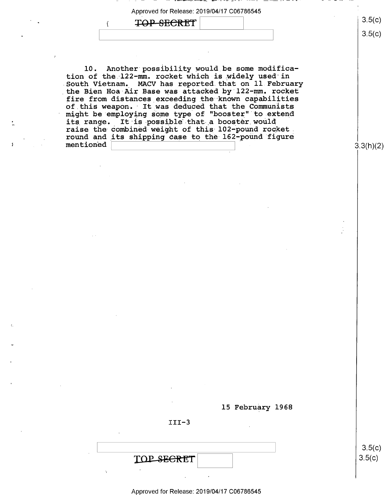$\begin{array}{|c|c|c|c|}\n\hline\n\textbf{TOP} & \textbf{SECTION} & \textbf{1}_{\{3,5\}(c)} \\
\hline\n\textbf{1}_{\{3,5\}(c)} & & & \textbf{1}_{\{3,5\}(c)}\n\hline\n\end{array}$ 

5

u

10. Another possibility would be some modification of the l22—mm. rocket which is widely used in South Vietnam, MACV has reported that on ll February the Bien Hoa-Air Base was attacked by 122-mm. rocket fire from distances exceeding the known capabilities of this weapon. It was deduced that the Communists might be employing some type of "booster" to extend its range. It is possible that a booster would raise the combined weight of this 102-pound rocket. round and its shipping case to the 162-pound figure mentioned \ \

3.3(h)(2)

l5 February 1968

III-3

TOP SECRET Approved for Release: 2019/04/17 C06786545

 $3.5(c)$  $3.5(c)$ 

 $3.5(c)$ 

 $\vert$   $\frac{\partial}{\partial \theta}$   $\frac{\partial}{\partial \theta}$   $\frac{\partial}{\partial \theta}$   $\frac{\partial}{\partial \theta}$   $\frac{\partial}{\partial \theta}$   $\frac{\partial}{\partial \theta}$   $\frac{\partial}{\partial \theta}$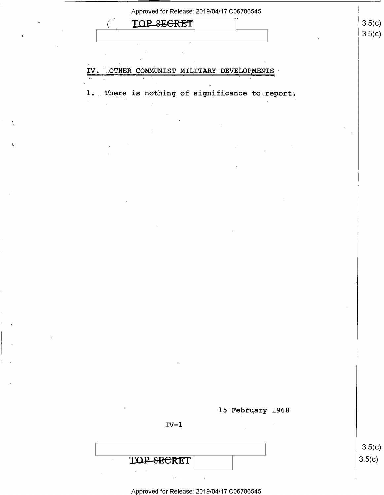| SEGRET<br><b>TOP_</b>                          | 3.5(c)           |
|------------------------------------------------|------------------|
|                                                | 3.5(c)           |
|                                                |                  |
|                                                |                  |
| IV. OTHER COMMUNIST MILITARY DEVELOPMENTS      |                  |
|                                                |                  |
| 1. There is nothing of significance to report. |                  |
|                                                |                  |
|                                                |                  |
|                                                |                  |
|                                                |                  |
|                                                |                  |
|                                                |                  |
|                                                |                  |
|                                                |                  |
|                                                |                  |
|                                                |                  |
|                                                |                  |
|                                                |                  |
|                                                |                  |
|                                                |                  |
|                                                |                  |
|                                                |                  |
|                                                |                  |
|                                                |                  |
|                                                |                  |
|                                                |                  |
|                                                |                  |
| $\sim$                                         |                  |
|                                                |                  |
|                                                |                  |
|                                                |                  |
| $\cdot$<br>15 February 1968                    |                  |
| and the control of the                         |                  |
| $IV-1$<br>$\sim$ $\sim$                        |                  |
|                                                |                  |
|                                                | 3.5(c)<br>3.5(c) |

'1.

| Approved for Release: 2019/04/17 C06786545 |  |
|--------------------------------------------|--|

 $\hat{\mathcal{A}}$ 

 $\delta \mathcal{F}(\mathcal{A})$  and  $\mathcal{F}(\mathcal{A})$ 

 $\Delta \phi = 0.5$ 

 $\overline{\mathbf{t}}$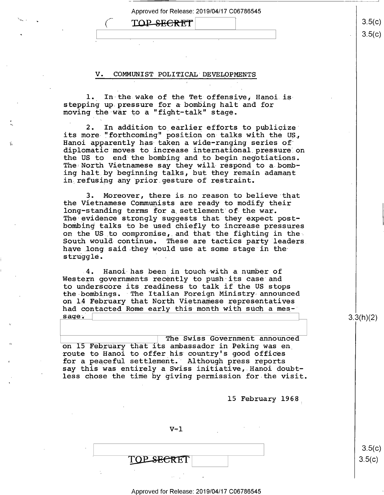# $\text{TOP}$ -SECRET  $\vert$  3.5(c)

\_

#### V. COMMUNIST POLITICAL' DEVELOPMENTS

1. In the wake of the Tet offensive, Hanoi isstepping up pressure for a bombing halt and for moving the war to a "fight-talk" stage.

2. In addition to earlier efforts to publicize<br>its more "forthcoming" position on talks with the US, Hanoi apparently has taken a wide-ranging series of diplomatic moves to increase international.pressure on the US to end the bombing and to begin negotiations. The North Vietnamese say they will respond to a bombing halt by beginning talks, but they remain adamant in refusing any prior.gesture of restraint.

3. Moreover, there is no reason to believe that<br>the Vietnamese Communists are ready to modify their long-standing terms for a settlement of the war. The evidence strongly suggests that they expect postbombing talks to be used chiefly to increase pressures on the US to compromise, and that the fighting in the South would-continue; These are tactics party leaders have long said they would use at some stage in thestruggle.

4. Hanoi has been in touch with a number of Western governments recently to push its case and<br>to underscore its readiness to talk if the US stops the bombings. The Italian Foreign Ministry announced<br>on 14 February that North Vietnamese representatives had contacted Rome early this month with such a mes-'sage.

 $\overline{\phantom{a}}$ The Swiss Government announced on 15 February that its ambassador in Peking was en route to Hanoi to offer his country's good offices for a peaceful settlement. Although press reports say this was entirely a Swiss initiative, Hanoi doubtless chose the time by giving permission for the visit

l5 February 1968:

 $V-1$ 

TOP SECRET

 $3.5(c)$  $3.5(c)$ 

3.3(h)(2)

#### Approved for Release: 2019/04/17 C06786545

 $3.5(c)$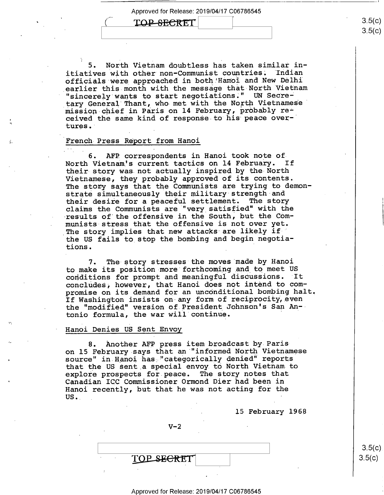## TOP-SECRET

mission chief in Paris on 14 February, probably re-5. North Vietnam doubtless has taken similar in-<br>ives with other non-Communist countries. Indian itiatives with other non-Communist countries. officials were approached in both!Hanoi and New Delhi earlier this month with the message that North Vietnam "sincerely wants to start negotiations;" UN Secretary General Thant, who met with the North Vietnamese' ceived the same kind of response to his peace over-' tures."

#### French-Press Report from Hanoi

 $\mathcal{L}_{\mathcal{L}}$ 

.

6. AFP correspondents in Hanoi took note of North Vietnam's current tactics on 14 February. If their story was not actually inspired by the North Vietnamese, they probably approved of its contents. The story says that the Communists are trying to demonstrate simultaneously their military strength and their desire for a peaceful settlement. The story claims the Communists are "very satisfied" with the results of the offensive in the South, but the Communists-stress that the offensive is not over yet. The story implies that new attacks are likely if the US fails to stop the bombing and begin negotiations. '

7. The story stresses the moves made by Hanoi to make its position more forthcoming and to meet US<br>conditions for prompt and meaningful discussions. It conditions for prompt and meaningful discussions. concludes, however, that Hanoi does not intend to compromise on its demand for an unconditional bombing halt. If Washington insists on any form of reciprocity, even the "modified" version of President Johnson's San Antonio formula, the war will continue.

#### Hanoi Denies US Sent Envoy

8. Another AFP press item broadcast by Paris on 15 February says that an "informed North Vietnamese source" in Hanoi has "categorically denied" reports that the US sent a special envoy to North Vietnam to explore prospects for peace. The story notes that Canadian ICC Commissioner Ormond Dier had been in Hanoi recently, but that he was not acting for the US.\_ \_

15 February 1968

 $V-2$ 

TOP SECRET

Approved for Release: 2019/04/17 C06786545

 $3.5(c)$  $3.5(c)$ 

ડ.၁(  $3.5(c)$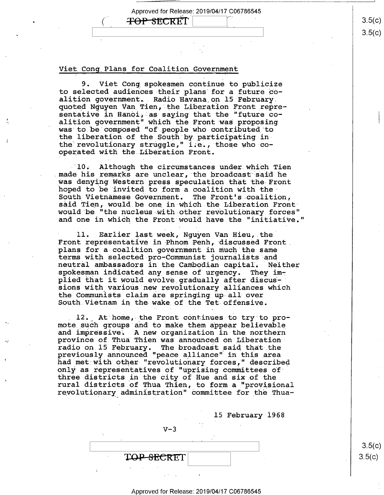**TOP SECRET** 

 $\left($ 

-

#### Viet Cong Plans for Coalition Government

9. Viet Cong spokesmen continue to publicize to selected audiences their plans for a future coalition government. Radio Havana on 15 February. quoted Nguyen Van Tien, the Liberation Front\_representative in Hanoi, as saying that the "future coalition government" which the Front was proposing was to be composed "of.people who contributed to olutionary struggle," i.e., those who cothe liberation of the South by participating inthe revolutionary struggle," i.e., t<br>operated with the Liberation Front.

a re unclear, the broadcast said he South Vietnamese Government. The Front's coalition, hoped to be invited to form a coalition with the<br>South-Wishmines: Secondary of The Treath-techlici 10. Although the circumstances under which Tien made his remarks are unclear, the broadcast said he<br>was denying Western press speculation that the Front said Tien, would be one in which the Liberation Front would be "the nucleus with other revolutionary forces" and one in which he Front would have the "initiative.

Front representative in Phnom Penh, discussed Front ition government in much the same plans for a coalition government in much the same<br>terms with selected pro-Communist journalists and neutral ambassadors in the Cambodian capital. Neither spokesman indicated any sense of urgency. They imspokesman indicated any sense of urgency. They im-<br>plied that it would evolve gradually after discus-<br>aione with worders were untianger alliances which sions with various new revolutionary alliances which the Communists claim are springing up-all over South Vietnam in the wake of the Tet offensive. 11. Earlier last week, Nguyen Van Hieu, the

12. At home, the Front continues to try to pro-<br>mote such groups and to make them appear believable and impressive. A new organization in the northern province of Thua Thien was announced on Liberation radio on 15 February. The broadcast said that the previously announced "peace alliance" in this area previously announced "peace alliance" in this area<br>had met with other "revolutionary forces," described only as representatives of "uprising committees of only as representatives of "uprising committees of<br>three districts in the city of Hue and six of the rural districts.o£ Thua Thien, to form a "provisional revolutionary administration" committee for\_the Thua—

15 February 1968

 $V-3$ 

TOP-SECRET

 $\vert$  3.5(c)  $3.5(c)$ 

#### Approved for Release: 2019/04/17 C06786545

3.5(C)  $3.5(c)$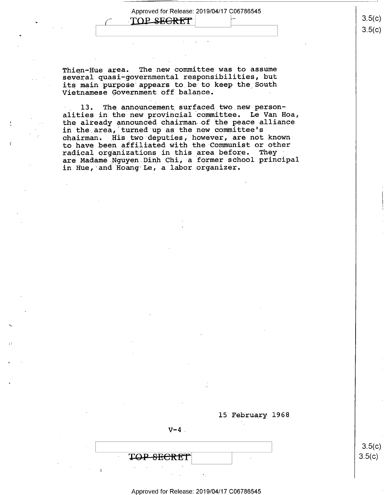TOP SEGRET

 $\left($ 

 $\left| \cdot \right|$ 

~

Thien-Hue area. The new committee was to assume several quasi-governmental responsibilities, but its main purpose appears to be to keep the South Vietnamese Government off balance.

13. The announcement surfaced two new personalities in the new provincial committee. Le Van Hoa, the already announced chairman of the peace alliance in the area, turned up as the new committee's chairman. His two deputies, however, are not knownto have been affiliated with the Communist or other radical organizations in this area before. They are Madame Nguyen Dinh Chi, a former school principal in Hue, and Hoang Le, a labor organizer.

15 February 1968

 $V-4$ .

TOP-SECRET

Approved for Release: 2019/04/17 C06786545

 $3.5(c)$  $3.5(c)$ 

 $-$  3.5(  $3.5(c$  $3.5(c)$ )